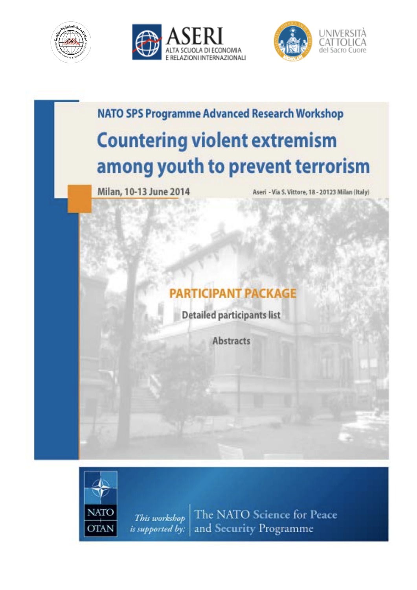





**NATO SPS Programme Advanced Research Workshop Countering violent extremism** among youth to prevent terrorism

Milan, 10-13 June 2014

Aseri - Via S. Vittore, 18 - 20123 Milan (Italy)

# **PARTICIPANT PACKAGE**

**Detailed participants list** 

**Abstracts** 



The NATO Science for Peace This workshop and Security Programme is supported by: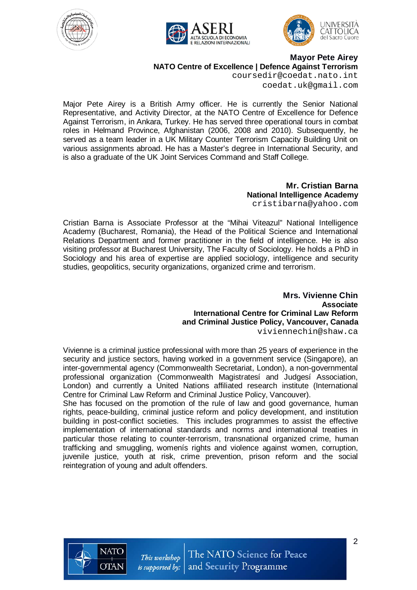





**Mayor Pete Airey**

**NATO Centre of Excellence | Defence Against Terrorism**

coursedir@coedat.nato.int coedat.uk@gmail.com

Major Pete Airey is a British Army officer. He is currently the Senior National Representative, and Activity Director, at the NATO Centre of Excellence for Defence Against Terrorism, in Ankara, Turkey. He has served three operational tours in combat roles in Helmand Province, Afghanistan (2006, 2008 and 2010). Subsequently, he served as a team leader in a UK Military Counter Terrorism Capacity Building Unit on various assignments abroad. He has a Master's degree in International Security, and is also a graduate of the UK Joint Services Command and Staff College.

> **Mr. Cristian Barna National Intelligence Academy** cristibarna@yahoo.com

Cristian Barna is Associate Professor at the "Mihai Viteazul" National Intelligence Academy (Bucharest, Romania), the Head of the Political Science and International Relations Department and former practitioner in the field of intelligence. He is also visiting professor at Bucharest University, The Faculty of Sociology. He holds a PhD in Sociology and his area of expertise are applied sociology, intelligence and security studies, geopolitics, security organizations, organized crime and terrorism.

> **Mrs. Vivienne Chin Associate International Centre for Criminal Law Reform and Criminal Justice Policy, Vancouver, Canada** viviennechin@shaw.ca

Vivienne is a criminal justice professional with more than 25 years of experience in the security and justice sectors, having worked in a government service (Singapore), an inter-governmental agency (Commonwealth Secretariat, London), a non-governmental professional organization (Commonwealth Magistratesí and Judgesí Association, London) and currently a United Nations affiliated research institute (International Centre for Criminal Law Reform and Criminal Justice Policy, Vancouver).

She has focused on the promotion of the rule of law and good governance, human rights, peace-building, criminal justice reform and policy development, and institution building in post-conflict societies. This includes programmes to assist the effective implementation of international standards and norms and international treaties in particular those relating to counter-terrorism, transnational organized crime, human trafficking and smuggling, womenís rights and violence against women, corruption, juvenile justice, youth at risk, crime prevention, prison reform and the social reintegration of young and adult offenders.

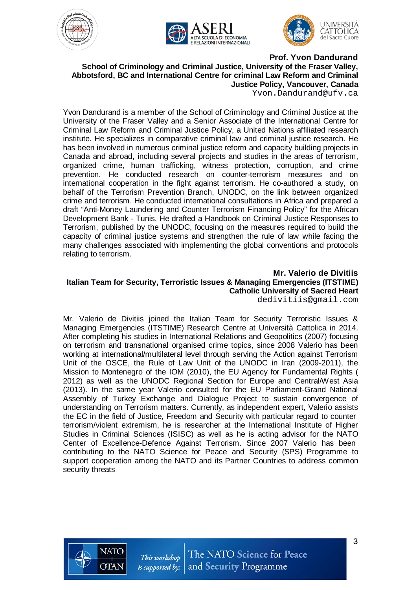





#### **Prof. Yvon Dandurand School of Criminology and Criminal Justice, University of the Fraser Valley, Abbotsford, BC and International Centre for criminal Law Reform and Criminal Justice Policy, Vancouver, Canada**

Yvon.Dandurand@ufv.ca

Yvon Dandurand is a member of the School of Criminology and Criminal Justice at the University of the Fraser Valley and a Senior Associate of the International Centre for Criminal Law Reform and Criminal Justice Policy, a United Nations affiliated research institute. He specializes in comparative criminal law and criminal justice research. He has been involved in numerous criminal justice reform and capacity building projects in Canada and abroad, including several projects and studies in the areas of terrorism, organized crime, human trafficking, witness protection, corruption, and crime prevention. He conducted research on counter-terrorism measures and on international cooperation in the fight against terrorism. He co-authored a study, on behalf of the Terrorism Prevention Branch, UNODC, on the link between organized crime and terrorism. He conducted international consultations in Africa and prepared a draft "Anti-Money Laundering and Counter Terrorism Financing Policy" for the African Development Bank - Tunis. He drafted a Handbook on Criminal Justice Responses to Terrorism, published by the UNODC, focusing on the measures required to build the capacity of criminal justice systems and strengthen the rule of law while facing the many challenges associated with implementing the global conventions and protocols relating to terrorism.

## **Mr. Valerio de Divitiis Italian Team for Security, Terroristic Issues & Managing Emergencies (ITSTIME) Catholic University of Sacred Heart**

dedivitiis@gmail.com

Mr. Valerio de Divitiis joined the Italian Team for Security Terroristic Issues & Managing Emergencies (ITSTIME) Research Centre at Università Cattolica in 2014. After completing his studies in International Relations and Geopolitics (2007) focusing on terrorism and transnational organised crime topics, since 2008 Valerio has been working at international/multilateral level through serving the Action against Terrorism Unit of the OSCE, the Rule of Law Unit of the UNODC in Iran (2009-2011), the Mission to Montenegro of the IOM (2010), the EU Agency for Fundamental Rights ( 2012) as well as the UNODC Regional Section for Europe and Central/West Asia (2013). In the same year Valerio consulted for the EU Parliament-Grand National Assembly of Turkey Exchange and Dialogue Project to sustain convergence of understanding on Terrorism matters. Currently, as independent expert, Valerio assists the EC in the field of Justice, Freedom and Security with particular regard to counter terrorism/violent extremism, he is researcher at the International Institute of Higher Studies in Criminal Sciences (ISISC) as well as he is acting advisor for the NATO Center of Excellence-Defence Against Terrorism. Since 2007 Valerio has been contributing to the NATO Science for Peace and Security (SPS) Programme to support cooperation among the NATO and its Partner Countries to address common security threats

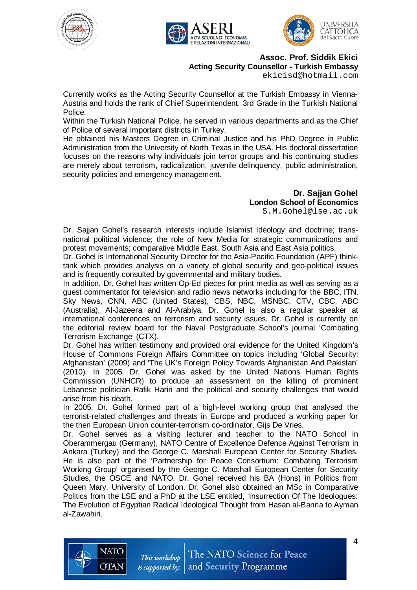





**Assoc. Prof. Siddik Ekici Acting Security Counsellor - Turkish Embassy**

ekicisd@hotmail.com

Currently works as the Acting Security Counsellor at the Turkish Embassy in Vienna-Austria and holds the rank of Chief Superintendent, 3rd Grade in the Turkish National Police.

Within the Turkish National Police, he served in various departments and as the Chief of Police of several important districts in Turkey.

He obtained his Masters Degree in Criminal Justice and his PhD Degree in Public Administration from the University of North Texas in the USA. His doctoral dissertation focuses on the reasons why individuals join terror groups and his continuing studies are merely about terrorism, radicalization, juvenile delinquency, public administration, security policies and emergency management.

> **Dr. Sajjan Gohel London School of Economics**

S.M.Gohel@lse.ac.uk

Dr. Sajjan Gohel's research interests include Islamist Ideology and doctrine; transnational political violence; the role of New Media for strategic communications and protest movements; comparative Middle East, South Asia and East Asia politics,

Dr. Gohel is International Security Director for the Asia-Pacific Foundation (APF) thinktank which provides analysis on a variety of global security and geo-political issues and is frequently consulted by governmental and military bodies.

In addition, Dr. Gohel has written Op-Ed pieces for print media as well as serving as a guest commentator for television and radio news networks including for the BBC, ITN, Sky News, CNN, ABC (United States), CBS, NBC, MSNBC, CTV, CBC, ABC (Australia), Al-Jazeera and Al-Arabiya. Dr. Gohel is also a regular speaker at international conferences on terrorism and security issues. Dr. Gohel is currently on the editorial review board for the Naval Postgraduate School's journal 'Combating Terrorism Exchange' (CTX).

Dr. Gohel has written testimony and provided oral evidence for the United Kingdom's House of Commons Foreign Affairs Committee on topics including 'Global Security: Afghanistan' (2009) and 'The UK's Foreign Policy Towards Afghanistan And Pakistan' (2010). In 2005, Dr. Gohel was asked by the United Nations Human Rights Commission (UNHCR) to produce an assessment on the killing of prominent Lebanese politician Rafik Hariri and the political and security challenges that would arise from his death.

In 2005, Dr. Gohel formed part of a high-level working group that analysed the terrorist-related challenges and threats in Europe and produced a working paper for the then European Union counter-terrorism co-ordinator, Gijs De Vries.

Dr. Gohel serves as a visiting lecturer and teacher to the NATO School in Oberammergau (Germany), NATO Centre of Excellence Defence Against Terrorism in Ankara (Turkey) and the George C. Marshall European Center for Security Studies. He is also part of the 'Partnership for Peace Consortium: Combating Terrorism Working Group' organised by the George C. Marshall European Center for Security Studies, the OSCE and NATO. Dr. Gohel received his BA (Hons) in Politics from Queen Mary, University of London. Dr. Gohel also obtained an MSc in Comparative Politics from the LSE and a PhD at the LSE entitled, 'Insurrection Of The Ideologues: The Evolution of Egyptian Radical Ideological Thought from Hasan al-Banna to Ayman al-Zawahiri.

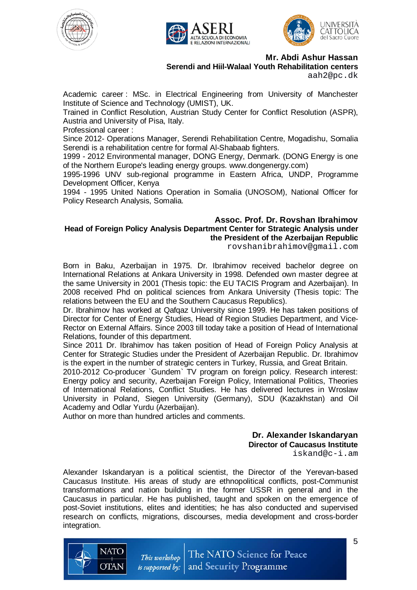





**Mr. Abdi Ashur Hassan Serendi and Hiil-Walaal Youth Rehabilitation centers**

aah2@pc.dk

Academic career : MSc. in Electrical Engineering from University of Manchester Institute of Science and Technology (UMIST), UK.

Trained in Conflict Resolution, Austrian Study Center for Conflict Resolution (ASPR), Austria and University of Pisa, Italy.

Professional career :

Since 2012- Operations Manager, Serendi Rehabilitation Centre, Mogadishu, Somalia Serendi is a rehabilitation centre for formal Al-Shabaab fighters.

1999 - 2012 Environmental manager, DONG Energy, Denmark. (DONG Energy is one of the Northern Europe's leading energy groups. www.dongenergy.com)

1995-1996 UNV sub-regional programme in Eastern Africa, UNDP, Programme Development Officer, Kenya

1994 - 1995 United Nations Operation in Somalia (UNOSOM), National Officer for Policy Research Analysis, Somalia.

#### **Assoc. Prof. Dr. Rovshan Ibrahimov Head of Foreign Policy Analysis Department Center for Strategic Analysis under the President of the Azerbaijan Republic**

rovshanibrahimov@gmail.com

Born in Baku, Azerbaijan in 1975. Dr. Ibrahimov received bachelor degree on International Relations at Ankara University in 1998. Defended own master degree at the same University in 2001 (Thesis topic: the EU TACIS Program and Azerbaijan). In 2008 received Phd on political sciences from Ankara University (Thesis topic: The relations between the EU and the Southern Caucasus Republics).

Dr. Ibrahimov has worked at Qafqaz University since 1999. He has taken positions of Director for Center of Energy Studies, Head of Region Studies Department, and Vice-Rector on External Affairs. Since 2003 till today take a position of Head of International Relations, founder of this department.

Since 2011 Dr. Ibrahimov has taken position of Head of Foreign Policy Analysis at Center for Strategic Studies under the President of Azerbaijan Republic. Dr. Ibrahimov is the expert in the number of strategic centers in Turkey, Russia, and Great Britain.

2010-2012 Co-producer `Gundem` TV program on foreign policy. Research interest: Energy policy and security, Azerbaijan Foreign Policy, International Politics, Theories of International Relations, Conflict Studies. He has delivered lectures in Wroslaw University in Poland, Siegen University (Germany), SDU (Kazakhstan) and Oil Academy and Odlar Yurdu (Azerbaijan).

Author on more than hundred articles and comments.

**Dr. Alexander Iskandaryan Director of Caucasus Institute** iskand@c-i.am

Alexander Iskandaryan is a political scientist, the Director of the Yerevan-based Caucasus Institute. His areas of study are ethnopolitical conflicts, post-Communist transformations and nation building in the former USSR in general and in the Caucasus in particular. He has published, taught and spoken on the emergence of post-Soviet institutions, elites and identities; he has also conducted and supervised research on conflicts, migrations, discourses, media development and cross-border integration.



The NATO Science for Peace This workshop and Security Programme is supported by: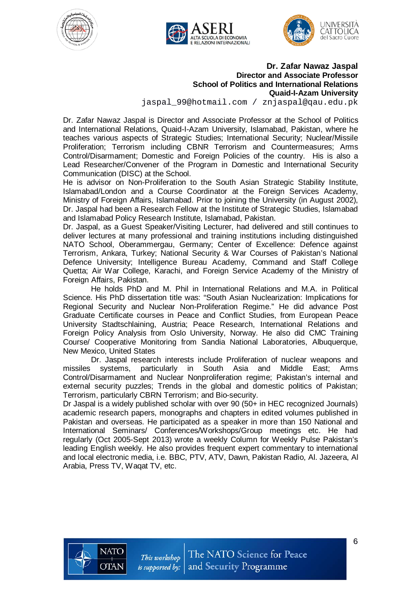





#### **Dr. Zafar Nawaz Jaspal Director and Associate Professor School of Politics and International Relations Quaid-I-Azam University** jaspal\_99@hotmail.com / znjaspal@qau.edu.pk

Dr. Zafar Nawaz Jaspal is Director and Associate Professor at the School of Politics and International Relations, Quaid-I-Azam University, Islamabad, Pakistan, where he teaches various aspects of Strategic Studies; International Security; Nuclear/Missile Proliferation; Terrorism including CBNR Terrorism and Countermeasures; Arms Control/Disarmament; Domestic and Foreign Policies of the country. His is also a Lead Researcher/Convener of the Program in Domestic and International Security Communication (DISC) at the School.

He is advisor on Non-Proliferation to the South Asian Strategic Stability Institute, Islamabad/London and a Course Coordinator at the Foreign Services Academy, Ministry of Foreign Affairs, Islamabad. Prior to joining the University (in August 2002), Dr. Jaspal had been a Research Fellow at the Institute of Strategic Studies, Islamabad and Islamabad Policy Research Institute, Islamabad, Pakistan.

Dr. Jaspal, as a Guest Speaker/Visiting Lecturer, had delivered and still continues to deliver lectures at many professional and training institutions including distinguished NATO School, Oberammergau, Germany; Center of Excellence: Defence against Terrorism, Ankara, Turkey; National Security & War Courses of Pakistan's National Defence University; Intelligence Bureau Academy, Command and Staff College Quetta; Air War College, Karachi, and Foreign Service Academy of the Ministry of Foreign Affairs, Pakistan.

 He holds PhD and M. Phil in International Relations and M.A. in Political Science. His PhD dissertation title was: "South Asian Nuclearization: Implications for Regional Security and Nuclear Non-Proliferation Regime." He did advance Post Graduate Certificate courses in Peace and Conflict Studies, from European Peace University Stadtschlaining, Austria; Peace Research, International Relations and Foreign Policy Analysis from Oslo University, Norway. He also did CMC Training Course/ Cooperative Monitoring from Sandia National Laboratories, Albuquerque, New Mexico, United States

 Dr. Jaspal research interests include Proliferation of nuclear weapons and missiles systems, particularly in South Asia and Middle East; Arms Control/Disarmament and Nuclear Nonproliferation regime; Pakistan's internal and external security puzzles; Trends in the global and domestic politics of Pakistan; Terrorism, particularly CBRN Terrorism; and Bio-security.

Dr Jaspal is a widely published scholar with over 90 (50+ in HEC recognized Journals) academic research papers, monographs and chapters in edited volumes published in Pakistan and overseas. He participated as a speaker in more than 150 National and International Seminars/ Conferences/Workshops/Group meetings etc. He had regularly (Oct 2005-Sept 2013) wrote a weekly Column for Weekly Pulse Pakistan's leading English weekly. He also provides frequent expert commentary to international and local electronic media, i.e. BBC, PTV, ATV, Dawn, Pakistan Radio, Al. Jazeera, Al Arabia, Press TV, Waqat TV, etc.

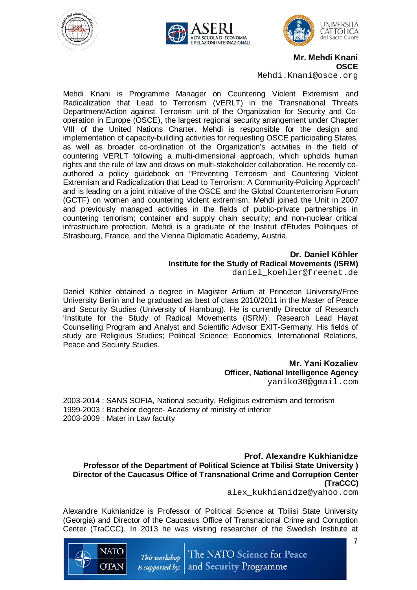





**Mr. Mehdi Knani OSCE**

Mehdi.Knani@osce.org

Mehdi Knani is Programme Manager on Countering Violent Extremism and Radicalization that Lead to Terrorism (VERLT) in the Transnational Threats Department/Action against Terrorism unit of the Organization for Security and Cooperation in Europe (OSCE), the largest regional security arrangement under Chapter VIII of the United Nations Charter. Mehdi is responsible for the design and implementation of capacity-building activities for requesting OSCE participating States, as well as broader co-ordination of the Organization's activities in the field of countering VERLT following a multi-dimensional approach, which upholds human rights and the rule of law and draws on multi-stakeholder collaboration. He recently coauthored a policy guidebook on "Preventing Terrorism and Countering Violent Extremism and Radicalization that Lead to Terrorism: A Community-Policing Approach" and is leading on a joint initiative of the OSCE and the Global Counterterrorism Forum (GCTF) on women and countering violent extremism. Mehdi joined the Unit in 2007 and previously managed activities in the fields of public-private partnerships in countering terrorism; container and supply chain security; and non-nuclear critical infrastructure protection. Mehdi is a graduate of the Institut d'Etudes Politiques of Strasbourg, France, and the Vienna Diplomatic Academy, Austria.

> **Dr. Daniel Köhler Institute for the Study of Radical Movements (ISRM)**

daniel\_koehler@freenet.de

Daniel Köhler obtained a degree in Magister Artium at Princeton University/Free University Berlin and he graduated as best of class 2010/2011 in the Master of Peace and Security Studies (University of Hamburg). He is currently Director of Research 'Institute for the Study of Radical Movements (ISRM)', Research Lead Hayat Counselling Program and Analyst and Scientific Advisor EXIT-Germany. His fields of study are Religious Studies; Political Science; Economics, International Relations, Peace and Security Studies.

> **Mr. Yani Kozaliev Officer, National Intelligence Agency** yaniko30@gmail.com

2003-2014 : SANS SOFIA, National security, Religious extremism and terrorism 1999-2003 : Bachelor degree- Academy of ministry of interior 2003-2009 : Mater in Law faculty

**Prof. Alexandre Kukhianidze Professor of the Department of Political Science at Tbilisi State University ) Director of the Caucasus Office of Transnational Crime and Corruption Center (TraCCC)**

alex\_kukhianidze@yahoo.com

Alexandre Kukhianidze is Professor of Political Science at Tbilisi State University (Georgia) and Director of the Caucasus Office of Transnational Crime and Corruption Center (TraCCC). In 2013 he was visiting researcher of the Swedish Institute at



7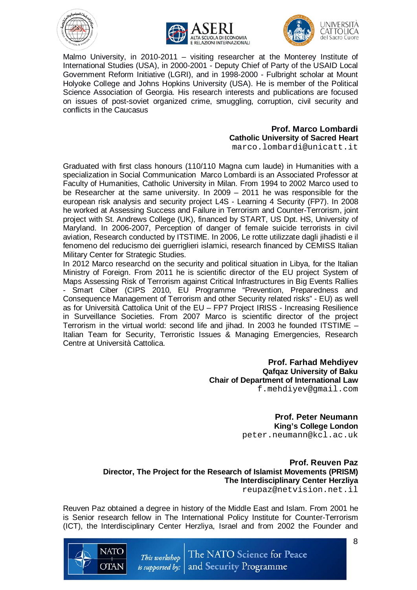







Malmo University, in 2010-2011 – visiting researcher at the Monterey Institute of International Studies (USA), in 2000-2001 - Deputy Chief of Party of the USAID Local Government Reform Initiative (LGRI), and in 1998-2000 - Fulbright scholar at Mount Holyoke College and Johns Hopkins University (USA). He is member of the Political Science Association of Georgia. His research interests and publications are focused on issues of post-soviet organized crime, smuggling, corruption, civil security and conflicts in the Caucasus

# **Prof. Marco Lombardi Catholic University of Sacred Heart**

marco.lombardi@unicatt.it

Graduated with first class honours (110/110 Magna cum laude) in Humanities with a specialization in Social Communication Marco Lombardi is an Associated Professor at Faculty of Humanities, Catholic University in Milan. From 1994 to 2002 Marco used to be Researcher at the same university. In 2009 – 2011 he was responsible for the european risk analysis and security project L4S - Learning 4 Security (FP7). In 2008 he worked at Assessing Success and Failure in Terrorism and Counter-Terrorism, joint project with St. Andrews College (UK), financed by START, US Dpt. HS, University of Maryland. In 2006-2007, Perception of danger of female suicide terrorists in civil aviation, Research conducted by ITSTIME. In 2006, Le rotte utilizzate dagli jihadisti e il fenomeno del reducismo dei guerriglieri islamici, research financed by CEMISS Italian Military Center for Strategic Studies.

In 2012 Marco researchd on the security and political situation in Libya, for the Italian Ministry of Foreign. From 2011 he is scientific director of the EU project System of Maps Assessing Risk of Terrorism against Critical Infrastructures in Big Events Rallies - Smart Ciber (CIPS 2010, EU Programme "Prevention, Preparedness and Consequence Management of Terrorism and other Security related risks" - EU) as well as for Università Cattolica Unit of the EU – FP7 Project IRISS - Increasing Resilience in Surveillance Societies. From 2007 Marco is scientific director of the project Terrorism in the virtual world: second life and jihad. In 2003 he founded ITSTIME – Italian Team for Security, Terroristic Issues & Managing Emergencies, Research Centre at Università Cattolica.

> **Prof. Farhad Mehdiyev Qafqaz University of Baku Chair of Department of International Law** f.mehdiyev@gmail.com

> > **Prof. Peter Neumann King's College London** [peter.neumann@kcl.ac.uk](mailto:peter.neumann@kcl.ac.uk)

**Prof. Reuven Paz Director, The Project for the Research of Islamist Movements (PRISM) The Interdisciplinary Center Herzliya**

[reupaz@netvision.net.il](mailto:reupaz@netvision.net.il)

Reuven Paz obtained a degree in history of the Middle East and Islam. From 2001 he is Senior research fellow in The International Policy Institute for Counter-Terrorism (ICT), the Interdisciplinary Center Herzliya, Israel and from 2002 the Founder and



8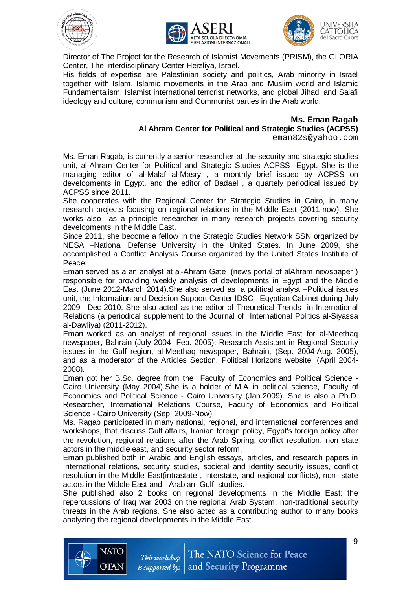





Director of The Project for the Research of Islamist Movements (PRISM), the GLORIA Center, The Interdisciplinary Center Herzliya, Israel.

His fields of expertise are Palestinian society and politics, Arab minority in Israel together with Islam, Islamic movements in the Arab and Muslim world and Islamic Fundamentalism, Islamist international terrorist networks, and global Jihadi and Salafi ideology and culture, communism and Communist parties in the Arab world.

#### **Ms. Eman Ragab Al Ahram Center for Political and Strategic Studies (ACPSS)**

[eman82s@yahoo.com](mailto:eman82s@yahoo.com)

Ms. Eman Ragab, is currently a senior researcher at the security and strategic studies unit, al-Ahram Center for Political and Strategic Studies ACPSS -Egypt. She is the managing editor of al-Malaf al-Masry , a monthly brief issued by ACPSS on developments in Egypt, and the editor of Badael , a quartely periodical issued by ACPSS since 2011.

She cooperates with the Regional Center for Strategic Studies in Cairo, in many research projects focusing on regional relations in the Middle East (2011-now). She works also as a principle researcher in many research projects covering security developments in the Middle East.

Since 2011, she become a fellow in the Strategic Studies Network SSN organized by NESA –National Defense University in the United States. In June 2009, she accomplished a Conflict Analysis Course organized by the United States Institute of Peace.

Eman served as a an analyst at al-Ahram Gate (news portal of alAhram newspaper ) responsible for providing weekly analysis of developments in Egypt and the Middle East (June 2012-March 2014).She also served as a political analyst –Political issues unit, the Information and Decision Support Center IDSC –Egyptian Cabinet during July 2009 –Dec 2010. She also acted as the editor of Theoretical Trends in International Relations (a periodical supplement to the Journal of International Politics al-Siyassa al-Dawliya) (2011-2012).

Eman worked as an analyst of regional issues in the Middle East for al-Meethaq newspaper, Bahrain (July 2004- Feb. 2005); Research Assistant in Regional Security issues in the Gulf region, al-Meethaq newspaper, Bahrain, (Sep. 2004-Aug. 2005), and as a moderator of the Articles Section, Political Horizons website, (April 2004- 2008).

Eman got her B.Sc. degree from the Faculty of Economics and Political Science - Cairo University (May 2004).She is a holder of M.A in political science, Faculty of Economics and Political Science - Cairo University (Jan.2009). She is also a Ph.D. Researcher, International Relations Course, Faculty of Economics and Political Science - Cairo University (Sep. 2009-Now).

Ms. Ragab participated in many national, regional, and international conferences and workshops, that discuss Gulf affairs, Iranian foreign policy, Egypt's foreign policy after the revolution, regional relations after the Arab Spring, conflict resolution, non state actors in the middle east, and security sector reform.

Eman published both in Arabic and English essays, articles, and research papers in International relations, security studies, societal and identity security issues, conflict resolution in the Middle East(intrastate , interstate, and regional conflicts), non- state actors in the Middle East and Arabian Gulf studies.

She published also 2 books on regional developments in the Middle East: the repercussions of Iraq war 2003 on the regional Arab System, non-traditional security threats in the Arab regions. She also acted as a contributing author to many books analyzing the regional developments in the Middle East.

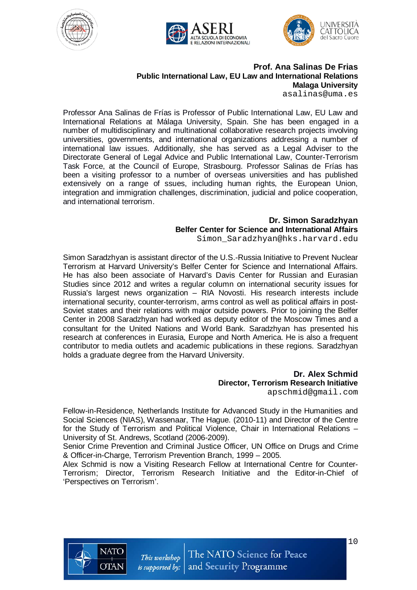





## **Prof. Ana Salinas De Frias Public International Law, EU Law and International Relations Malaga University**

[asalinas@uma.es](mailto:asalinas@uma.es)

Professor Ana Salinas de Frías is Professor of Public International Law, EU Law and International Relations at Málaga University, Spain. She has been engaged in a number of multidisciplinary and multinational collaborative research projects involving universities, governments, and international organizations addressing a number of international law issues. Additionally, she has served as a Legal Adviser to the Directorate General of Legal Advice and Public International Law, Counter-Terrorism Task Force, at the Council of Europe, Strasbourg. Professor Salinas de Frías has been a visiting professor to a number of overseas universities and has published extensively on a range of ssues, including human rights, the European Union, integration and immigration challenges, discrimination, judicial and police cooperation, and international terrorism.

#### **Dr. Simon Saradzhyan Belfer Center for Science and International Affairs** [Simon\\_Saradzhyan@hks.harvard.edu](mailto:Simon_Saradzhyan@hks.harvard.edu)

Simon Saradzhyan is assistant director of the U.S.-Russia Initiative to Prevent Nuclear Terrorism at Harvard University's Belfer Center for Science and International Affairs. He has also been associate of Harvard's Davis Center for Russian and Eurasian Studies since 2012 and writes a regular column on international security issues for Russia's largest news organization – RIA Novosti. His research interests include international security, counter-terrorism, arms control as well as political affairs in post-Soviet states and their relations with major outside powers. Prior to joining the Belfer Center in 2008 Saradzhyan had worked as deputy editor of the Moscow Times and a consultant for the United Nations and World Bank. Saradzhyan has presented his research at conferences in Eurasia, Europe and North America. He is also a frequent contributor to media outlets and academic publications in these regions. Saradzhyan holds a graduate degree from the Harvard University.

# **Dr. Alex Schmid Director, Terrorism Research Initiative**

[apschmid@gmail.com](mailto:apschmid@gmail.com)

Fellow-in-Residence, Netherlands Institute for Advanced Study in the Humanities and Social Sciences (NIAS), Wassenaar, The Hague. (2010-11) and Director of the Centre for the Study of Terrorism and Political Violence, Chair in International Relations – University of St. Andrews, Scotland (2006-2009).

Senior Crime Prevention and Criminal Justice Officer, UN Office on Drugs and Crime & Officer-in-Charge, Terrorism Prevention Branch, 1999 – 2005.

Alex Schmid is now a Visiting Research Fellow at International Centre for Counter-Terrorism; Director, Terrorism Research Initiative and the Editor-in-Chief of 'Perspectives on Terrorism'.

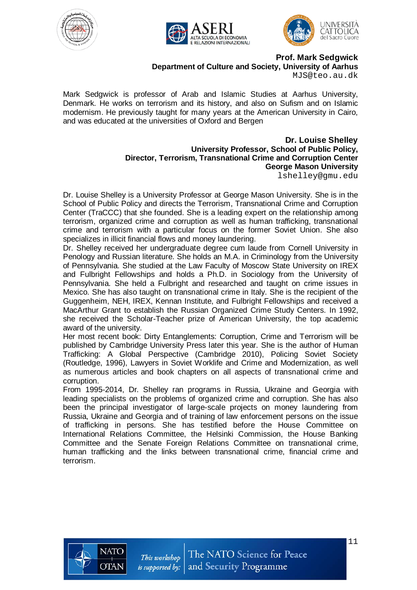





**Prof. Mark Sedgwick Department of Culture and Society, University of Aarhus**

[MJS@teo.au.dk](mailto:MJS@teo.au.dk)

Mark Sedgwick is professor of Arab and Islamic Studies at Aarhus University, Denmark. He works on terrorism and its history, and also on Sufism and on Islamic modernism. He previously taught for many years at the American University in Cairo, and was educated at the universities of Oxford and Bergen

> **Dr. Louise Shelley University Professor, School of Public Policy, Director, Terrorism, Transnational Crime and Corruption Center George Mason University** [lshelley@gmu.edu](mailto:lshelley@gmu.edu)

Dr. Louise Shelley is a University Professor at George Mason University. She is in the School of Public Policy and directs the Terrorism, Transnational Crime and Corruption Center (TraCCC) that she founded. She is a leading expert on the relationship among terrorism, organized crime and corruption as well as human trafficking, transnational crime and terrorism with a particular focus on the former Soviet Union. She also specializes in illicit financial flows and money laundering.

Dr. Shelley received her undergraduate degree cum laude from Cornell University in Penology and Russian literature. She holds an M.A. in Criminology from the University of Pennsylvania. She studied at the Law Faculty of Moscow State University on IREX and Fulbright Fellowships and holds a Ph.D. in Sociology from the University of Pennsylvania. She held a Fulbright and researched and taught on crime issues in Mexico. She has also taught on transnational crime in Italy. She is the recipient of the Guggenheim, NEH, IREX, Kennan Institute, and Fulbright Fellowships and received a MacArthur Grant to establish the Russian Organized Crime Study Centers. In 1992, she received the Scholar-Teacher prize of American University, the top academic award of the university.

Her most recent book: Dirty Entanglements: Corruption, Crime and Terrorism will be published by Cambridge University Press later this year. She is the author of Human Trafficking: A Global Perspective (Cambridge 2010), Policing Soviet Society (Routledge, 1996), Lawyers in Soviet Worklife and Crime and Modernization, as well as numerous articles and book chapters on all aspects of transnational crime and corruption.

From 1995-2014, Dr. Shelley ran programs in Russia, Ukraine and Georgia with leading specialists on the problems of organized crime and corruption. She has also been the principal investigator of large-scale projects on money laundering from Russia, Ukraine and Georgia and of training of law enforcement persons on the issue of trafficking in persons. She has testified before the House Committee on International Relations Committee, the Helsinki Commission, the House Banking Committee and the Senate Foreign Relations Committee on transnational crime, human trafficking and the links between transnational crime, financial crime and terrorism.

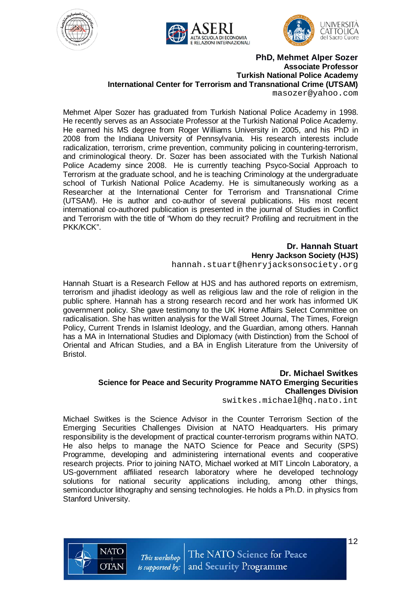





**PhD, Mehmet Alper Sozer Associate Professor Turkish National Police Academy International Center for Terrorism and Transnational Crime (UTSAM)**

masozer@yahoo.com

Mehmet Alper Sozer has graduated from Turkish National Police Academy in 1998. He recently serves as an Associate Professor at the Turkish National Police Academy. He earned his MS degree from Roger Williams University in 2005, and his PhD in 2008 from the Indiana University of Pennsylvania. His research interests include radicalization, terrorism, crime prevention, community policing in countering-terrorism, and criminological theory. Dr. Sozer has been associated with the Turkish National Police Academy since 2008. He is currently teaching Psyco-Social Approach to Terrorism at the graduate school, and he is teaching Criminology at the undergraduate school of Turkish National Police Academy. He is simultaneously working as a Researcher at the International Center for Terrorism and Transnational Crime (UTSAM). He is author and co-author of several publications. His most recent international co-authored publication is presented in the journal of Studies in Conflict and Terrorism with the title of "Whom do they recruit? Profiling and recruitment in the PKK/KCK".

> **Dr. Hannah Stuart Henry Jackson Society (HJS)** [hannah.stuart@henryjacksonsociety.org](mailto:hannah.stuart@henryjacksonsociety.org)

Hannah Stuart is a Research Fellow at HJS and has authored reports on extremism, terrorism and jihadist ideology as well as religious law and the role of religion in the public sphere. Hannah has a strong research record and her work has informed UK government policy. She gave testimony to the UK Home Affairs Select Committee on radicalisation. She has written analysis for the Wall Street Journal, The Times, Foreign Policy, Current Trends in Islamist Ideology, and the Guardian, among others. Hannah has a MA in International Studies and Diplomacy (with Distinction) from the School of Oriental and African Studies, and a BA in English Literature from the University of Bristol.

#### **Dr. Michael Switkes Science for Peace and Security Programme NATO Emerging Securities Challenges Division**

[switkes.michael@hq.nato.int](mailto:switkes.michael@hq.nato.int)

Michael Switkes is the Science Advisor in the Counter Terrorism Section of the Emerging Securities Challenges Division at NATO Headquarters. His primary responsibility is the development of practical counter-terrorism programs within NATO. He also helps to manage the NATO Science for Peace and Security (SPS) Programme, developing and administering international events and cooperative research projects. Prior to joining NATO, Michael worked at MIT Lincoln Laboratory, a US-government affiliated research laboratory where he developed technology solutions for national security applications including, among other things, semiconductor lithography and sensing technologies. He holds a Ph.D. in physics from Stanford University.

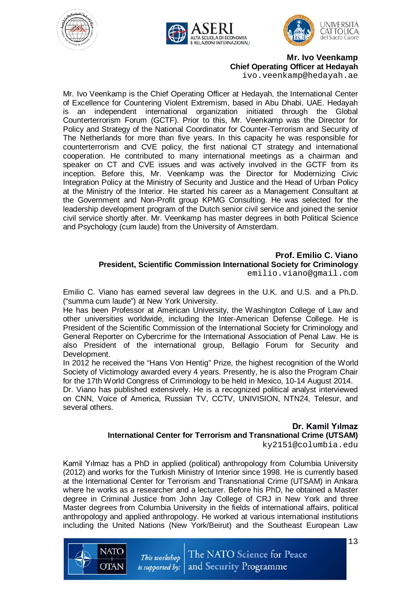





**Mr. Ivo Veenkamp Chief Operating Officer at Hedayah** [ivo.veenkamp@hedayah.ae](mailto:ivo.veenkamp@hedayah.ae)

Mr. Ivo Veenkamp is the Chief Operating Officer at Hedayah, the International Center of Excellence for Countering Violent Extremism, based in Abu Dhabi, UAE. Hedayah is an independent international organization initiated through the Global Counterterrorism Forum (GCTF). Prior to this, Mr. Veenkamp was the Director for Policy and Strategy of the National Coordinator for Counter-Terrorism and Security of The Netherlands for more than five years. In this capacity he was responsible for counterterrorism and CVE policy, the first national CT strategy and international cooperation. He contributed to many international meetings as a chairman and speaker on CT and CVE issues and was actively involved in the GCTF from its inception. Before this, Mr. Veenkamp was the Director for Modernizing Civic Integration Policy at the Ministry of Security and Justice and the Head of Urban Policy at the Ministry of the Interior. He started his career as a Management Consultant at the Government and Non-Profit group KPMG Consulting. He was selected for the leadership development program of the Dutch senior civil service and joined the senior civil service shortly after. Mr. Veenkamp has master degrees in both Political Science and Psychology (cum laude) from the University of Amsterdam.

#### **Prof. Emilio C. Viano**

**President, Scientific Commission International Society for Criminology** [emilio.viano@gmail.com](mailto:emilio.viano@gmail.com)

Emilio C. Viano has earned several law degrees in the U.K. and U.S. and a Ph.D. ("summa cum laude") at New York University.

He has been Professor at American University, the Washington College of Law and other universities worldwide, including the Inter-American Defense College. He is President of the Scientific Commission of the International Society for Criminology and General Reporter on Cybercrime for the International Association of Penal Law. He is also President of the international group, Bellagio Forum for Security and Development.

In 2012 he received the "Hans Von Hentig" Prize, the highest recognition of the World Society of Victimology awarded every 4 years. Presently, he is also the Program Chair for the 17th World Congress of Criminology to be held in Mexico, 10-14 August 2014.

Dr. Viano has published extensively. He is a recognized political analyst interviewed on CNN, Voice of America, Russian TV, CCTV, UNIVISION, NTN24, Telesur, and several others.

#### **Dr. Kamil Yılmaz International Center for Terrorism and Transnational Crime (UTSAM)** [ky2151@columbia.edu](mailto:ky2151@columbia.edu)

Kamil Yılmaz has a PhD in applied (political) anthropology from Columbia University (2012) and works for the Turkish Ministry of Interior since 1998. He is currently based at the International Center for Terrorism and Transnational Crime (UTSAM) in Ankara where he works as a researcher and a lecturer. Before his PhD, he obtained a Master degree in Criminal Justice from John Jay College of CRJ in New York and three Master degrees from Columbia University in the fields of international affairs, political anthropology and applied anthropology. He worked at various international institutions including the United Nations (New York/Beirut) and the Southeast European Law

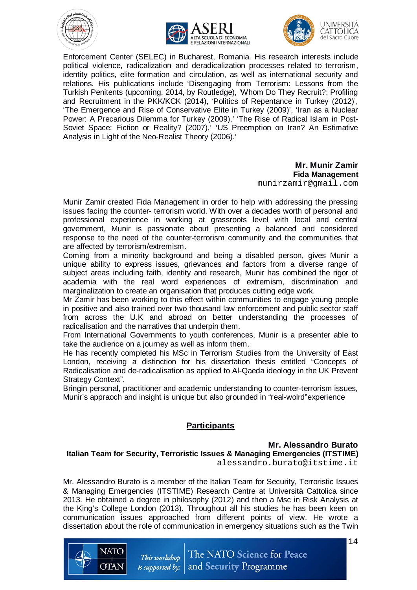





Enforcement Center (SELEC) in Bucharest, Romania. His research interests include political violence, radicalization and deradicalization processes related to terrorism, identity politics, elite formation and circulation, as well as international security and relations. His publications include 'Disengaging from Terrorism: Lessons from the Turkish Penitents (upcoming, 2014, by Routledge), 'Whom Do They Recruit?: Profiling and Recruitment in the PKK/KCK (2014), 'Politics of Repentance in Turkey (2012)', 'The Emergence and Rise of Conservative Elite in Turkey (2009)', 'Iran as a Nuclear Power: A Precarious Dilemma for Turkey (2009),' 'The Rise of Radical Islam in Post-Soviet Space: Fiction or Reality? (2007),<sup>3</sup> 'US Preemption on Iran? An Estimative Analysis in Light of the Neo-Realist Theory (2006).'

## **Mr. Munir Zamir Fida Management**

[munirzamir@gmail.com](mailto:munirzamir@gmail.com)

Munir Zamir created Fida Management in order to help with addressing the pressing issues facing the counter- terrorism world. With over a decades worth of personal and professional experience in working at grassroots level with local and central government, Munir is passionate about presenting a balanced and considered response to the need of the counter-terrorism community and the communities that are affected by terrorism/extremism.

Coming from a minority background and being a disabled person, gives Munir a unique ability to express issues, grievances and factors from a diverse range of subject areas including faith, identity and research, Munir has combined the rigor of academia with the real word experiences of extremism, discrimination and marginalization to create an organisation that produces cutting edge work.

Mr Zamir has been working to this effect within communities to engage young people in positive and also trained over two thousand law enforcement and public sector staff from across the U.K and abroad on better understanding the processes of radicalisation and the narratives that underpin them.

From International Governments to youth conferences, Munir is a presenter able to take the audience on a journey as well as inform them.

He has recently completed his MSc in Terrorism Studies from the University of East London, receiving a distinction for his dissertation thesis entitled "Concepts of Radicalisation and de-radicalisation as applied to Al-Qaeda ideology in the UK Prevent Strategy Context".

Bringin personal, practitioner and academic understanding to counter-terrorism issues, Munir's appraoch and insight is unique but also grounded in "real-wolrd"experience

# **Participants**

## **Mr. Alessandro Burato**

**Italian Team for Security, Terroristic Issues & Managing Emergencies (ITSTIME)** [alessandro.burato@itstime.it](mailto:alessandro.burato@itstime.it)

Mr. Alessandro Burato is a member of the Italian Team for Security, Terroristic Issues & Managing Emergencies (ITSTIME) Research Centre at Università Cattolica since 2013. He obtained a degree in philosophy (2012) and then a Msc in Risk Analysis at the King's College London (2013). Throughout all his studies he has been keen on communication issues approached from different points of view. He wrote a dissertation about the role of communication in emergency situations such as the Twin

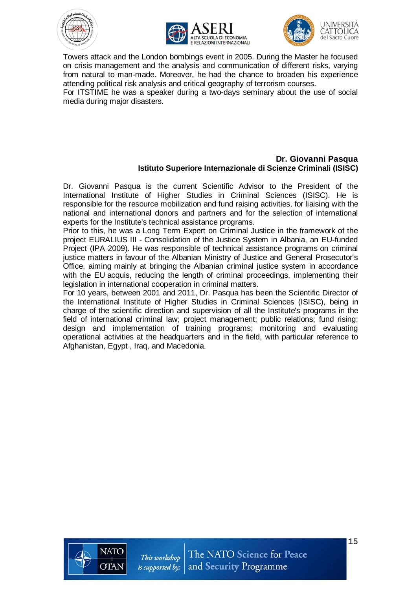







Towers attack and the London bombings event in 2005. During the Master he focused on crisis management and the analysis and communication of different risks, varying from natural to man-made. Moreover, he had the chance to broaden his experience attending political risk analysis and critical geography of terrorism courses.

For ITSTIME he was a speaker during a two-days seminary about the use of social media during major disasters.

#### **Dr. Giovanni Pasqua Istituto Superiore Internazionale di Scienze Criminali (ISISC)**

Dr. Giovanni Pasqua is the current Scientific Advisor to the President of the International Institute of Higher Studies in Criminal Sciences (ISISC). He is responsible for the resource mobilization and fund raising activities, for liaising with the national and international donors and partners and for the selection of international experts for the Institute's technical assistance programs.

Prior to this, he was a Long Term Expert on Criminal Justice in the framework of the project EURALIUS III - Consolidation of the Justice System in Albania, an EU-funded Project (IPA 2009). He was responsible of technical assistance programs on criminal justice matters in favour of the Albanian Ministry of Justice and General Prosecutor's Office, aiming mainly at bringing the Albanian criminal justice system in accordance with the EU acquis, reducing the length of criminal proceedings, implementing their legislation in international cooperation in criminal matters.

For 10 years, between 2001 and 2011, Dr. Pasqua has been the Scientific Director of the International Institute of Higher Studies in Criminal Sciences (ISISC), being in charge of the scientific direction and supervision of all the Institute's programs in the field of international criminal law; project management; public relations; fund rising; design and implementation of training programs; monitoring and evaluating operational activities at the headquarters and in the field, with particular reference to Afghanistan, Egypt , Iraq, and Macedonia.

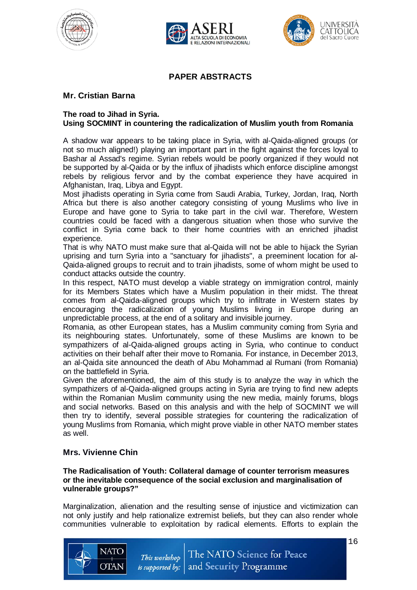





# **PAPER ABSTRACTS**

# **Mr. Cristian Barna**

#### **The road to Jihad in Syria. Using SOCMINT in countering the radicalization of Muslim youth from Romania**

A shadow war appears to be taking place in Syria, with al-Qaida-aligned groups (or not so much aligned!) playing an important part in the fight against the forces loyal to Bashar al Assad's regime. Syrian rebels would be poorly organized if they would not be supported by al-Qaida or by the influx of jihadists which enforce discipline amongst rebels by religious fervor and by the combat experience they have acquired in Afghanistan, Iraq, Libya and Egypt.

Most jihadists operating in Syria come from Saudi Arabia, Turkey, Jordan, Iraq, North Africa but there is also another category consisting of young Muslims who live in Europe and have gone to Syria to take part in the civil war. Therefore, Western countries could be faced with a dangerous situation when those who survive the conflict in Syria come back to their home countries with an enriched jihadist experience.

That is why NATO must make sure that al-Qaida will not be able to hijack the Syrian uprising and turn Syria into a "sanctuary for jihadists", a preeminent location for al-Qaida-aligned groups to recruit and to train jihadists, some of whom might be used to conduct attacks outside the country.

In this respect, NATO must develop a viable strategy on immigration control, mainly for its Members States which have a Muslim population in their midst. The threat comes from al-Qaida-aligned groups which try to infiltrate in Western states by encouraging the radicalization of young Muslims living in Europe during an unpredictable process, at the end of a solitary and invisible journey.

Romania, as other European states, has a Muslim community coming from Syria and its neighbouring states. Unfortunately, some of these Muslims are known to be sympathizers of al-Qaida-aligned groups acting in Syria, who continue to conduct activities on their behalf after their move to Romania. For instance, in December 2013, an al-Qaida site announced the death of Abu Mohammad al Rumani (from Romania) on the battlefield in Syria.

Given the aforementioned, the aim of this study is to analyze the way in which the sympathizers of al-Qaida-aligned groups acting in Syria are trying to find new adepts within the Romanian Muslim community using the new media, mainly forums, blogs and social networks. Based on this analysis and with the help of SOCMINT we will then try to identify, several possible strategies for countering the radicalization of young Muslims from Romania, which might prove viable in other NATO member states as well.

## **Mrs. Vivienne Chin**

#### **The Radicalisation of Youth: Collateral damage of counter terrorism measures or the inevitable consequence of the social exclusion and marginalisation of vulnerable groups?"**

Marginalization, alienation and the resulting sense of injustice and victimization can not only justify and help rationalize extremist beliefs, but they can also render whole communities vulnerable to exploitation by radical elements. Efforts to explain the

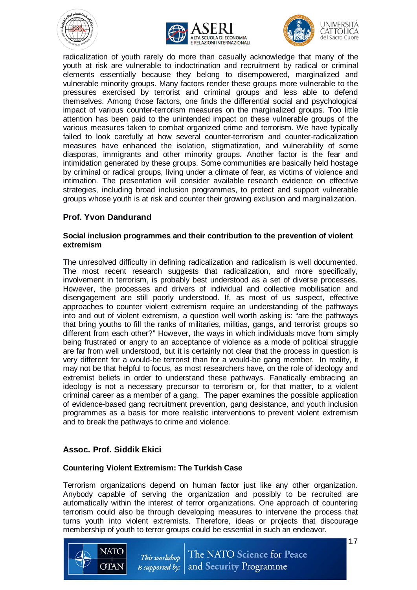







radicalization of youth rarely do more than casually acknowledge that many of the youth at risk are vulnerable to indoctrination and recruitment by radical or criminal elements essentially because they belong to disempowered, marginalized and vulnerable minority groups. Many factors render these groups more vulnerable to the pressures exercised by terrorist and criminal groups and less able to defend themselves. Among those factors, one finds the differential social and psychological impact of various counter-terrorism measures on the marginalized groups. Too little attention has been paid to the unintended impact on these vulnerable groups of the various measures taken to combat organized crime and terrorism. We have typically failed to look carefully at how several counter-terrorism and counter-radicalization measures have enhanced the isolation, stigmatization, and vulnerability of some diasporas, immigrants and other minority groups. Another factor is the fear and intimidation generated by these groups. Some communities are basically held hostage by criminal or radical groups, living under a climate of fear, as victims of violence and intimation. The presentation will consider available research evidence on effective strategies, including broad inclusion programmes, to protect and support vulnerable groups whose youth is at risk and counter their growing exclusion and marginalization.

## **Prof. Yvon Dandurand**

#### **Social inclusion programmes and their contribution to the prevention of violent extremism**

The unresolved difficulty in defining radicalization and radicalism is well documented. The most recent research suggests that radicalization, and more specifically, involvement in terrorism, is probably best understood as a set of diverse processes. However, the processes and drivers of individual and collective mobilisation and disengagement are still poorly understood. If, as most of us suspect, effective approaches to counter violent extremism require an understanding of the pathways into and out of violent extremism, a question well worth asking is: "are the pathways that bring youths to fill the ranks of militaries, militias, gangs, and terrorist groups so different from each other?" However, the ways in which individuals move from simply being frustrated or angry to an acceptance of violence as a mode of political struggle are far from well understood, but it is certainly not clear that the process in question is very different for a would-be terrorist than for a would-be gang member. In reality, it may not be that helpful to focus, as most researchers have, on the role of ideology and extremist beliefs in order to understand these pathways. Fanatically embracing an ideology is not a necessary precursor to terrorism or, for that matter, to a violent criminal career as a member of a gang. The paper examines the possible application of evidence-based gang recruitment prevention, gang desistance, and youth inclusion programmes as a basis for more realistic interventions to prevent violent extremism and to break the pathways to crime and violence.

## **Assoc. Prof. Siddik Ekici**

#### **Countering Violent Extremism: The Turkish Case**

Terrorism organizations depend on human factor just like any other organization. Anybody capable of serving the organization and possibly to be recruited are automatically within the interest of terror organizations. One approach of countering terrorism could also be through developing measures to intervene the process that turns youth into violent extremists. Therefore, ideas or projects that discourage membership of youth to terror groups could be essential in such an endeavor.



17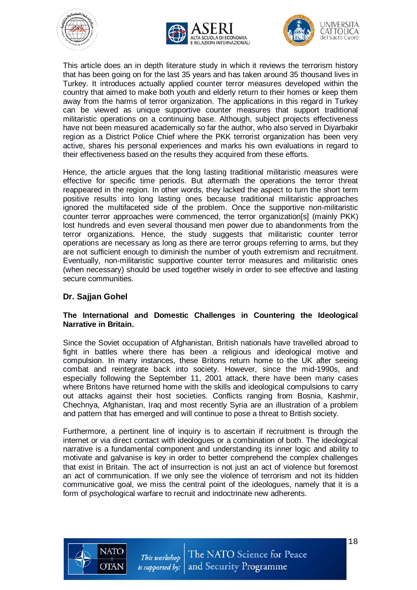





This article does an in depth literature study in which it reviews the terrorism history that has been going on for the last 35 years and has taken around 35 thousand lives in Turkey. It introduces actually applied counter terror measures developed within the country that aimed to make both youth and elderly return to their homes or keep them away from the harms of terror organization. The applications in this regard in Turkey can be viewed as unique supportive counter measures that support traditional militaristic operations on a continuing base. Although, subject projects effectiveness have not been measured academically so far the author, who also served in Diyarbakir region as a District Police Chief where the PKK terrorist organization has been very active, shares his personal experiences and marks his own evaluations in regard to their effectiveness based on the results they acquired from these efforts.

Hence, the article argues that the long lasting traditional militaristic measures were effective for specific time periods. But aftermath the operations the terror threat reappeared in the region. In other words, they lacked the aspect to turn the short term positive results into long lasting ones because traditional militaristic approaches ignored the multifaceted side of the problem. Once the supportive non-militaristic counter terror approaches were commenced, the terror organization[s] (mainly PKK) lost hundreds and even several thousand men power due to abandonments from the terror organizations. Hence, the study suggests that militaristic counter terror operations are necessary as long as there are terror groups referring to arms, but they are not sufficient enough to diminish the number of youth extremism and recruitment. Eventually, non-militaristic supportive counter terror measures and militaristic ones (when necessary) should be used together wisely in order to see effective and lasting secure communities.

## **Dr. Sajjan Gohel**

#### **The International and Domestic Challenges in Countering the Ideological Narrative in Britain.**

Since the Soviet occupation of Afghanistan, British nationals have travelled abroad to fight in battles where there has been a religious and ideological motive and compulsion. In many instances, these Britons return home to the UK after seeing combat and reintegrate back into society. However, since the mid-1990s, and especially following the September 11, 2001 attack, there have been many cases where Britons have returned home with the skills and ideological compulsions to carry out attacks against their host societies. Conflicts ranging from Bosnia, Kashmir, Chechnya, Afghanistan, Iraq and most recently Syria are an illustration of a problem and pattern that has emerged and will continue to pose a threat to British society.

Furthermore, a pertinent line of inquiry is to ascertain if recruitment is through the internet or via direct contact with ideologues or a combination of both. The ideological narrative is a fundamental component and understanding its inner logic and ability to motivate and galvanise is key in order to better comprehend the complex challenges that exist in Britain. The act of insurrection is not just an act of violence but foremost an act of communication. If we only see the violence of terrorism and not its hidden communicative goal, we miss the central point of the ideologues, namely that it is a form of psychological warfare to recruit and indoctrinate new adherents.

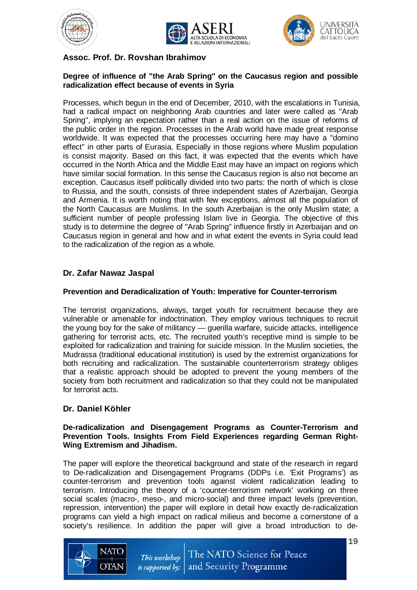





# **Assoc. Prof. Dr. Rovshan Ibrahimov**

#### **Degree of influence of "the Arab Spring" on the Caucasus region and possible radicalization effect because of events in Syria**

Processes, which begun in the end of December, 2010, with the escalations in Tunisia, had a radical impact on neighboring Arab countries and later were called as "Arab Spring", implying an expectation rather than a real action on the issue of reforms of the public order in the region. Processes in the Arab world have made great response worldwide. It was expected that the processes occurring here may have a "domino effect" in other parts of Eurasia. Especially in those regions where Muslim population is consist majority. Based on this fact, it was expected that the events which have occurred in the North Africa and the Middle East may have an impact on regions which have similar social formation. In this sense the Caucasus region is also not become an exception. Caucasus itself politically divided into two parts: the north of which is close to Russia, and the south, consists of three independent states of Azerbaijan, Georgia and Armenia. It is worth noting that with few exceptions, almost all the population of the North Caucasus are Muslims. In the south Azerbaijan is the only Muslim state; a sufficient number of people professing Islam live in Georgia. The objective of this study is to determine the degree of "Arab Spring" influence firstly in Azerbaijan and on Caucasus region in general and how and in what extent the events in Syria could lead to the radicalization of the region as a whole.

## **Dr. Zafar Nawaz Jaspal**

#### **Prevention and Deradicalization of Youth: Imperative for Counter-terrorism**

The terrorist organizations, always, target youth for recruitment because they are vulnerable or amenable for indoctrination. They employ various techniques to recruit the young boy for the sake of militancy — guerilla warfare, suicide attacks, intelligence gathering for terrorist acts, etc. The recruited youth's receptive mind is simple to be exploited for radicalization and training for suicide mission. In the Muslim societies, the Mudrassa (traditional educational institution) is used by the extremist organizations for both recruiting and radicalization. The sustainable counterterrorism strategy obliges that a realistic approach should be adopted to prevent the young members of the society from both recruitment and radicalization so that they could not be manipulated for terrorist acts.

## **Dr. Daniel Köhler**

#### **De-radicalization and Disengagement Programs as Counter-Terrorism and Prevention Tools. Insights From Field Experiences regarding German Right-Wing Extremism and Jihadism.**

The paper will explore the theoretical background and state of the research in regard to De-radicalization and Disengagement Programs (DDPs i.e. 'Exit Programs') as counter-terrorism and prevention tools against violent radicalization leading to terrorism. Introducing the theory of a 'counter-terrorism network' working on three social scales (macro-, meso-, and micro-social) and three impact levels (prevention, repression, intervention) the paper will explore in detail how exactly de-radicalization programs can yield a high impact on radical milieus and become a cornerstone of a society's resilience. In addition the paper will give a broad introduction to de-

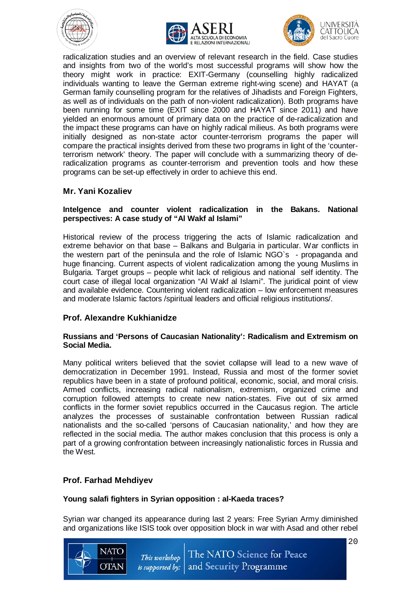





UNIVERSITÀ CATTOLICA

radicalization studies and an overview of relevant research in the field. Case studies and insights from two of the world's most successful programs will show how the theory might work in practice: EXIT-Germany (counselling highly radicalized individuals wanting to leave the German extreme right-wing scene) and HAYAT (a German family counselling program for the relatives of Jihadists and Foreign Fighters, as well as of individuals on the path of non-violent radicalization). Both programs have been running for some time (EXIT since 2000 and HAYAT since 2011) and have yielded an enormous amount of primary data on the practice of de-radicalization and the impact these programs can have on highly radical milieus. As both programs were initially designed as non-state actor counter-terrorism programs the paper will compare the practical insights derived from these two programs in light of the 'counterterrorism network' theory. The paper will conclude with a summarizing theory of deradicalization programs as counter-terrorism and prevention tools and how these programs can be set-up effectively in order to achieve this end.

#### **Mr. Yani Kozaliev**

#### **Intelgence and counter violent radicalization in the Bakans. National perspectives: A case study of "Al Wakf al Islami"**

Historical review of the process triggering the acts of Islamic radicalization and extreme behavior on that base – Balkans and Bulgaria in particular. War conflicts in the western part of the peninsula and the role of Islamic NGO`s - propaganda and huge financing. Current aspects of violent radicalization among the young Muslims in Bulgaria. Target groups – people whit lack of religious and national self identity. The court case of illegal local organization "Al Wakf al Islami". The juridical point of view and available evidence. Countering violent radicalization – low enforcement measures and moderate Islamic factors /spiritual leaders and official religious institutions/.

## **Prof. Alexandre Kukhianidze**

#### **Russians and 'Persons of Caucasian Nationality': Radicalism and Extremism on Social Media.**

Many political writers believed that the soviet collapse will lead to a new wave of democratization in December 1991. Instead, Russia and most of the former soviet republics have been in a state of profound political, economic, social, and moral crisis. Armed conflicts, increasing radical nationalism, extremism, organized crime and corruption followed attempts to create new nation-states. Five out of six armed conflicts in the former soviet republics occurred in the Caucasus region. The article analyzes the processes of sustainable confrontation between Russian radical nationalists and the so-called 'persons of Caucasian nationality,' and how they are reflected in the social media. The author makes conclusion that this process is only a part of a growing confrontation between increasingly nationalistic forces in Russia and the West.

## **Prof. Farhad Mehdiyev**

#### **Young salafi fighters in Syrian opposition : al-Kaeda traces?**

Syrian war changed its appearance during last 2 years: Free Syrian Army diminished and organizations like ISIS took over opposition block in war with Asad and other rebel



20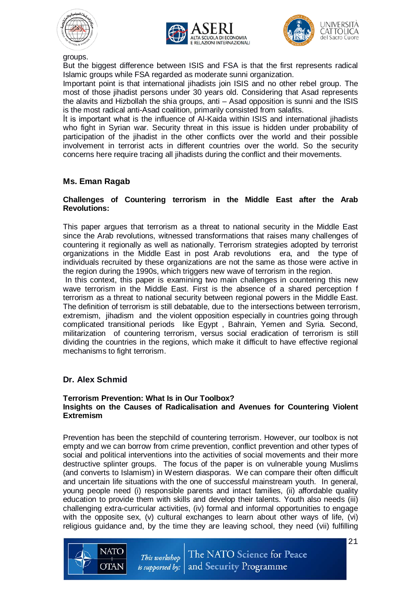





groups.

But the biggest difference between ISIS and FSA is that the first represents radical Islamic groups while FSA regarded as moderate sunni organization.

Important point is that international jihadists join ISIS and no other rebel group. The most of those jihadist persons under 30 years old. Considering that Asad represents the alavits and Hizbollah the shia groups, anti – Asad opposition is sunni and the ISIS is the most radical anti-Asad coalition, primarily consisted from salafits.

İt is important what is the influence of Al-Kaida within ISIS and international jihadists who fight in Syrian war. Security threat in this issue is hidden under probability of participation of the jihadist in the other conflicts over the world and their possible involvement in terrorist acts in different countries over the world. So the security concerns here require tracing all jihadists during the conflict and their movements.

## **Ms. Eman Ragab**

#### **Challenges of Countering terrorism in the Middle East after the Arab Revolutions:**

This paper argues that terrorism as a threat to national security in the Middle East since the Arab revolutions, witnessed transformations that raises many challenges of countering it regionally as well as nationally. Terrorism strategies adopted by terrorist organizations in the Middle East in post Arab revolutions era, and the type of individuals recruited by these organizations are not the same as those were active in the region during the 1990s, which triggers new wave of terrorism in the region.

In this context, this paper is examining two main challenges in countering this new wave terrorism in the Middle East. First is the absence of a shared perception f terrorism as a threat to national security between regional powers in the Middle East. The definition of terrorism is still debatable, due to the intersections between terrorism, extremism, jihadism and the violent opposition especially in countries going through complicated transitional periods like Egypt , Bahrain, Yemen and Syria. Second, militarization of countering terrorism, versus social eradication of terrorism is still dividing the countries in the regions, which make it difficult to have effective regional mechanisms to fight terrorism.

# **Dr. Alex Schmid**

#### **Terrorism Prevention: What Is in Our Toolbox? Insights on the Causes of Radicalisation and Avenues for Countering Violent Extremism**

Prevention has been the stepchild of countering terrorism. However, our toolbox is not empty and we can borrow from crime prevention, conflict prevention and other types of social and political interventions into the activities of social movements and their more destructive splinter groups. The focus of the paper is on vulnerable young Muslims (and converts to Islamism) in Western diasporas. We can compare their often difficult and uncertain life situations with the one of successful mainstream youth. In general, young people need (i) responsible parents and intact families, (ii) affordable quality education to provide them with skills and develop their talents. Youth also needs (iii) challenging extra-curricular activities, (iv) formal and informal opportunities to engage with the opposite sex, (v) cultural exchanges to learn about other ways of life, (vi) religious guidance and, by the time they are leaving school, they need (vii) fulfilling

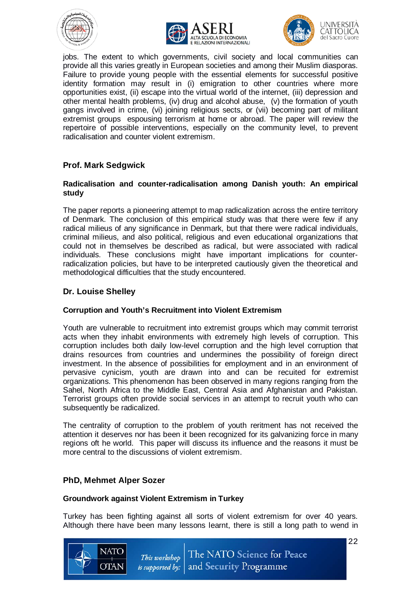





jobs. The extent to which governments, civil society and local communities can provide all this varies greatly in European societies and among their Muslim diasporas. Failure to provide young people with the essential elements for successful positive identity formation may result in (i) emigration to other countries where more opportunities exist, (ii) escape into the virtual world of the internet, (iii) depression and other mental health problems, (iv) drug and alcohol abuse, (v) the formation of youth gangs involved in crime, (vi) joining religious sects, or (vii) becoming part of militant extremist groups espousing terrorism at home or abroad. The paper will review the repertoire of possible interventions, especially on the community level, to prevent radicalisation and counter violent extremism.

# **Prof. Mark Sedgwick**

#### **Radicalisation and counter-radicalisation among Danish youth: An empirical study**

The paper reports a pioneering attempt to map radicalization across the entire territory of Denmark. The conclusion of this empirical study was that there were few if any radical milieus of any significance in Denmark, but that there were radical individuals, criminal milieus, and also political, religious and even educational organizations that could not in themselves be described as radical, but were associated with radical individuals. These conclusions might have important implications for counterradicalization policies, but have to be interpreted cautiously given the theoretical and methodological difficulties that the study encountered.

# **Dr. Louise Shelley**

## **Corruption and Youth's Recruitment into Violent Extremism**

Youth are vulnerable to recruitment into extremist groups which may commit terrorist acts when they inhabit environments with extremely high levels of corruption. This corruption includes both daily low-level corruption and the high level corruption that drains resources from countries and undermines the possibility of foreign direct investment. In the absence of possibilities for employment and in an environment of pervasive cynicism, youth are drawn into and can be recuited for extremist organizations. This phenomenon has been observed in many regions ranging from the Sahel, North Africa to the Middle East, Central Asia and Afghanistan and Pakistan. Terrorist groups often provide social services in an attempt to recruit youth who can subsequently be radicalized.

The centrality of corruption to the problem of youth reritment has not received the attention it deserves nor has been it been recognized for its galvanizing force in many regions oft he world. This paper will discuss its influence and the reasons it must be more central to the discussions of violent extremism.

## **PhD, Mehmet Alper Sozer**

#### **Groundwork against Violent Extremism in Turkey**

Turkey has been fighting against all sorts of violent extremism for over 40 years. Although there have been many lessons learnt, there is still a long path to wend in

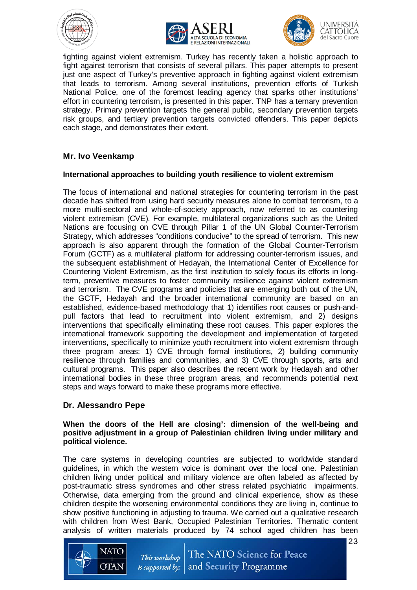







fighting against violent extremism. Turkey has recently taken a holistic approach to fight against terrorism that consists of several pillars. This paper attempts to present just one aspect of Turkey's preventive approach in fighting against violent extremism that leads to terrorism. Among several institutions, prevention efforts of Turkish National Police, one of the foremost leading agency that sparks other institutions' effort in countering terrorism, is presented in this paper. TNP has a ternary prevention strategy. Primary prevention targets the general public, secondary prevention targets risk groups, and tertiary prevention targets convicted offenders. This paper depicts each stage, and demonstrates their extent.

## **Mr. Ivo Veenkamp**

#### **International approaches to building youth resilience to violent extremism**

The focus of international and national strategies for countering terrorism in the past decade has shifted from using hard security measures alone to combat terrorism, to a more multi-sectoral and whole-of-society approach, now referred to as countering violent extremism (CVE). For example, multilateral organizations such as the United Nations are focusing on CVE through Pillar 1 of the UN Global Counter-Terrorism Strategy, which addresses "conditions conducive" to the spread of terrorism. This new approach is also apparent through the formation of the Global Counter-Terrorism Forum (GCTF) as a multilateral platform for addressing counter-terrorism issues, and the subsequent establishment of Hedayah, the International Center of Excellence for Countering Violent Extremism, as the first institution to solely focus its efforts in longterm, preventive measures to foster community resilience against violent extremism and terrorism. The CVE programs and policies that are emerging both out of the UN, the GCTF, Hedayah and the broader international community are based on an established, evidence-based methodology that 1) identifies root causes or push-andpull factors that lead to recruitment into violent extremism, and 2) designs interventions that specifically eliminating these root causes. This paper explores the international framework supporting the development and implementation of targeted interventions, specifically to minimize youth recruitment into violent extremism through three program areas: 1) CVE through formal institutions, 2) building community resilience through families and communities, and 3) CVE through sports, arts and cultural programs. This paper also describes the recent work by Hedayah and other international bodies in these three program areas, and recommends potential next steps and ways forward to make these programs more effective.

## **Dr. Alessandro Pepe**

#### **When the doors of the Hell are closing': dimension of the well-being and positive adjustment in a group of Palestinian children living under military and political violence.**

The care systems in developing countries are subjected to worldwide standard guidelines, in which the western voice is dominant over the local one. Palestinian children living under political and military violence are often labeled as affected by post-traumatic stress syndromes and other stress related psychiatric impairments. Otherwise, data emerging from the ground and clinical experience, show as these children despite the worsening environmental conditions they are living in, continue to show positive functioning in adjusting to trauma. We carried out a qualitative research with children from West Bank, Occupied Palestinian Territories. Thematic content analysis of written materials produced by 74 school aged children has been

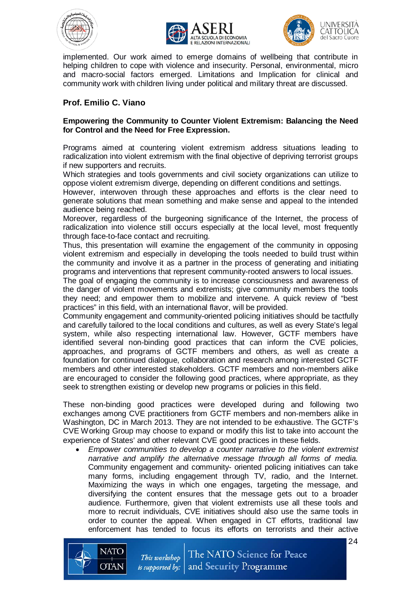





implemented. Our work aimed to emerge domains of wellbeing that contribute in helping children to cope with violence and insecurity. Personal, environmental, micro and macro-social factors emerged. Limitations and Implication for clinical and community work with children living under political and military threat are discussed.

# **Prof. Emilio C. Viano**

#### **Empowering the Community to Counter Violent Extremism: Balancing the Need for Control and the Need for Free Expression.**

Programs aimed at countering violent extremism address situations leading to radicalization into violent extremism with the final objective of depriving terrorist groups if new supporters and recruits.

Which strategies and tools governments and civil society organizations can utilize to oppose violent extremism diverge, depending on different conditions and settings.

However, interwoven through these approaches and efforts is the clear need to generate solutions that mean something and make sense and appeal to the intended audience being reached.

Moreover, regardless of the burgeoning significance of the Internet, the process of radicalization into violence still occurs especially at the local level, most frequently through face-to-face contact and recruiting.

Thus, this presentation will examine the engagement of the community in opposing violent extremism and especially in developing the tools needed to build trust within the community and involve it as a partner in the process of generating and initiating programs and interventions that represent community-rooted answers to local issues.

The goal of engaging the community is to increase consciousness and awareness of the danger of violent movements and extremists; give community members the tools they need; and empower them to mobilize and intervene. A quick review of "best practices" in this field, with an international flavor, will be provided.

Community engagement and community-oriented policing initiatives should be tactfully and carefully tailored to the local conditions and cultures, as well as every State's legal system, while also respecting international law. However, GCTF members have identified several non-binding good practices that can inform the CVE policies, approaches, and programs of GCTF members and others, as well as create a foundation for continued dialogue, collaboration and research among interested GCTF members and other interested stakeholders. GCTF members and non-members alike are encouraged to consider the following good practices, where appropriate, as they seek to strengthen existing or develop new programs or policies in this field.

These non-binding good practices were developed during and following two exchanges among CVE practitioners from GCTF members and non-members alike in Washington, DC in March 2013. They are not intended to be exhaustive. The GCTF's CVE Working Group may choose to expand or modify this list to take into account the experience of States' and other relevant CVE good practices in these fields.

• *Empower communities to develop a counter narrative to the violent extremist narrative and amplify the alternative message through all forms of media.*  Community engagement and community- oriented policing initiatives can take many forms, including engagement through TV, radio, and the Internet. Maximizing the ways in which one engages, targeting the message, and diversifying the content ensures that the message gets out to a broader audience. Furthermore, given that violent extremists use all these tools and more to recruit individuals, CVE initiatives should also use the same tools in order to counter the appeal. When engaged in CT efforts, traditional law enforcement has tended to focus its efforts on terrorists and their active



24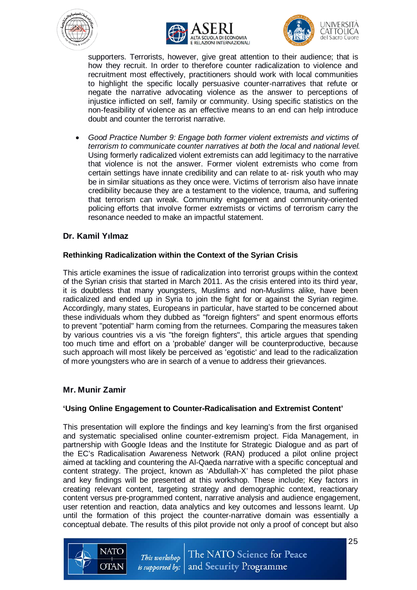





UNIVERSITA CATTOLICA

supporters. Terrorists, however, give great attention to their audience; that is how they recruit. In order to therefore counter radicalization to violence and recruitment most effectively, practitioners should work with local communities to highlight the specific locally persuasive counter-narratives that refute or negate the narrative advocating violence as the answer to perceptions of injustice inflicted on self, family or community. Using specific statistics on the non-feasibility of violence as an effective means to an end can help introduce doubt and counter the terrorist narrative.

• *Good Practice Number 9: Engage both former violent extremists and victims of terrorism to communicate counter narratives at both the local and national level.* Using formerly radicalized violent extremists can add legitimacy to the narrative that violence is not the answer. Former violent extremists who come from certain settings have innate credibility and can relate to at- risk youth who may be in similar situations as they once were. Victims of terrorism also have innate credibility because they are a testament to the violence, trauma, and suffering that terrorism can wreak. Community engagement and community-oriented policing efforts that involve former extremists or victims of terrorism carry the resonance needed to make an impactful statement.

## **Dr. Kamil Yılmaz**

## **Rethinking Radicalization within the Context of the Syrian Crisis**

This article examines the issue of radicalization into terrorist groups within the context of the Syrian crisis that started in March 2011. As the crisis entered into its third year, it is doubtless that many youngsters, Muslims and non-Muslims alike, have been radicalized and ended up in Syria to join the fight for or against the Syrian regime. Accordingly, many states, Europeans in particular, have started to be concerned about these individuals whom they dubbed as "foreign fighters" and spent enormous efforts to prevent "potential" harm coming from the returnees. Comparing the measures taken by various countries vis a vis "the foreign fighters", this article argues that spending too much time and effort on a 'probable' danger will be counterproductive, because such approach will most likely be perceived as 'egotistic' and lead to the radicalization of more youngsters who are in search of a venue to address their grievances.

## **Mr. Munir Zamir**

## **'Using Online Engagement to Counter-Radicalisation and Extremist Content'**

This presentation will explore the findings and key learning's from the first organised and systematic specialised online counter-extremism project. Fida Management, in partnership with Google Ideas and the Institute for Strategic Dialogue and as part of the EC's Radicalisation Awareness Network (RAN) produced a pilot online project aimed at tackling and countering the Al-Qaeda narrative with a specific conceptual and content strategy. The project, known as 'Abdullah-X' has completed the pilot phase and key findings will be presented at this workshop. These include; Key factors in creating relevant content, targeting strategy and demographic context, reactionary content versus pre-programmed content, narrative analysis and audience engagement, user retention and reaction, data analytics and key outcomes and lessons learnt. Up until the formation of this project the counter-narrative domain was essentially a conceptual debate. The results of this pilot provide not only a proof of concept but also

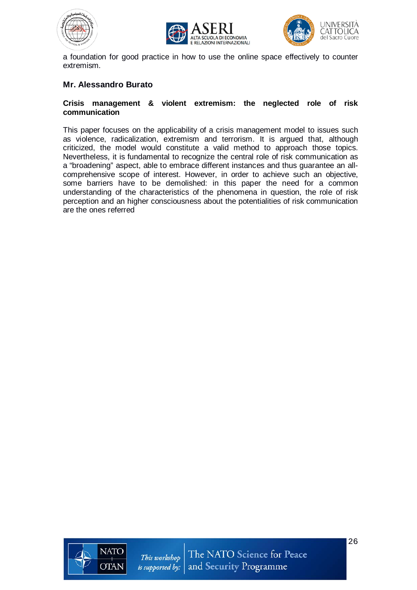





a foundation for good practice in how to use the online space effectively to counter extremism.

#### **Mr. Alessandro Burato**

#### **Crisis management & violent extremism: the neglected role of risk communication**

This paper focuses on the applicability of a crisis management model to issues such as violence, radicalization, extremism and terrorism. It is argued that, although criticized, the model would constitute a valid method to approach those topics. Nevertheless, it is fundamental to recognize the central role of risk communication as a "broadening" aspect, able to embrace different instances and thus guarantee an allcomprehensive scope of interest. However, in order to achieve such an objective, some barriers have to be demolished: in this paper the need for a common understanding of the characteristics of the phenomena in question, the role of risk perception and an higher consciousness about the potentialities of risk communication are the ones referred